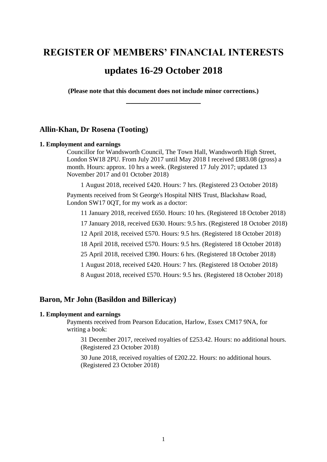# **REGISTER OF MEMBERS' FINANCIAL INTERESTS**

# **updates 16-29 October 2018**

**(Please note that this document does not include minor corrections.) \_\_\_\_\_\_\_\_\_\_\_\_\_\_\_\_\_**

## **Allin-Khan, Dr Rosena (Tooting)**

#### **1. Employment and earnings**

Councillor for Wandsworth Council, The Town Hall, Wandsworth High Street, London SW18 2PU. From July 2017 until May 2018 I received £883.08 (gross) a month. Hours: approx. 10 hrs a week. (Registered 17 July 2017; updated 13 November 2017 and 01 October 2018)

1 August 2018, received £420. Hours: 7 hrs. (Registered 23 October 2018)

Payments received from St George's Hospital NHS Trust, Blackshaw Road, London SW17 0QT, for my work as a doctor:

11 January 2018, received £650. Hours: 10 hrs. (Registered 18 October 2018) 17 January 2018, received £630. Hours: 9.5 hrs. (Registered 18 October 2018) 12 April 2018, received £570. Hours: 9.5 hrs. (Registered 18 October 2018) 18 April 2018, received £570. Hours: 9.5 hrs. (Registered 18 October 2018) 25 April 2018, received £390. Hours: 6 hrs. (Registered 18 October 2018) 1 August 2018, received £420. Hours: 7 hrs. (Registered 18 October 2018) 8 August 2018, received £570. Hours: 9.5 hrs. (Registered 18 October 2018)

## **Baron, Mr John (Basildon and Billericay)**

#### **1. Employment and earnings**

Payments received from Pearson Education, Harlow, Essex CM17 9NA, for writing a book:

31 December 2017, received royalties of £253.42. Hours: no additional hours. (Registered 23 October 2018)

30 June 2018, received royalties of £202.22. Hours: no additional hours. (Registered 23 October 2018)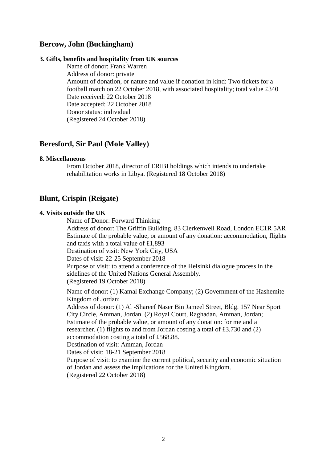## **Bercow, John (Buckingham)**

### **3. Gifts, benefits and hospitality from UK sources**

Name of donor: Frank Warren Address of donor: private Amount of donation, or nature and value if donation in kind: Two tickets for a football match on 22 October 2018, with associated hospitality; total value £340 Date received: 22 October 2018 Date accepted: 22 October 2018 Donor status: individual (Registered 24 October 2018)

## **Beresford, Sir Paul (Mole Valley)**

#### **8. Miscellaneous**

From October 2018, director of ERIBI holdings which intends to undertake rehabilitation works in Libya. (Registered 18 October 2018)

## **Blunt, Crispin (Reigate)**

## **4. Visits outside the UK**

Name of Donor: Forward Thinking

Address of donor: The Griffin Building, 83 Clerkenwell Road, London EC1R 5AR Estimate of the probable value, or amount of any donation: accommodation, flights and taxis with a total value of £1,893

Destination of visit: New York City, USA

Dates of visit: 22-25 September 2018

Purpose of visit: to attend a conference of the Helsinki dialogue process in the sidelines of the United Nations General Assembly. (Registered 19 October 2018)

Name of donor: (1) Kamal Exchange Company; (2) Government of the Hashemite Kingdom of Jordan;

Address of donor: (1) Al -Shareef Naser Bin Jameel Street, Bldg. 157 Near Sport City Circle, Amman, Jordan. (2) Royal Court, Raghadan, Amman, Jordan; Estimate of the probable value, or amount of any donation: for me and a researcher, (1) flights to and from Jordan costing a total of £3,730 and (2) accommodation costing a total of £568.88.

Destination of visit: Amman, Jordan

Dates of visit: 18-21 September 2018

Purpose of visit: to examine the current political, security and economic situation of Jordan and assess the implications for the United Kingdom. (Registered 22 October 2018)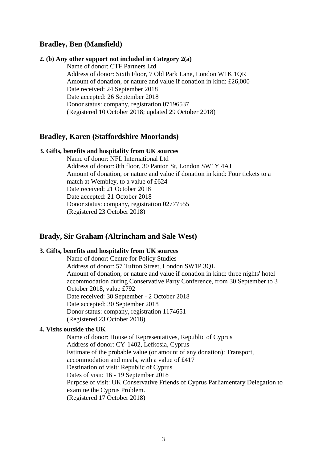## **Bradley, Ben (Mansfield)**

#### **2. (b) Any other support not included in Category 2(a)**

Name of donor: CTF Partners Ltd Address of donor: Sixth Floor, 7 Old Park Lane, London W1K 1QR Amount of donation, or nature and value if donation in kind: £26,000 Date received: 24 September 2018 Date accepted: 26 September 2018 Donor status: company, registration 07196537 (Registered 10 October 2018; updated 29 October 2018)

## **Bradley, Karen (Staffordshire Moorlands)**

#### **3. Gifts, benefits and hospitality from UK sources**

Name of donor: NFL International Ltd Address of donor: 8th floor, 30 Panton St, London SW1Y 4AJ Amount of donation, or nature and value if donation in kind: Four tickets to a match at Wembley, to a value of £624 Date received: 21 October 2018 Date accepted: 21 October 2018 Donor status: company, registration 02777555 (Registered 23 October 2018)

## **Brady, Sir Graham (Altrincham and Sale West)**

### **3. Gifts, benefits and hospitality from UK sources**

Name of donor: Centre for Policy Studies Address of donor: 57 Tufton Street, London SW1P 3QL Amount of donation, or nature and value if donation in kind: three nights' hotel accommodation during Conservative Party Conference, from 30 September to 3 October 2018, value £792 Date received: 30 September - 2 October 2018 Date accepted: 30 September 2018 Donor status: company, registration 1174651 (Registered 23 October 2018)

#### **4. Visits outside the UK**

Name of donor: House of Representatives, Republic of Cyprus Address of donor: CY-1402, Lefkosia, Cyprus Estimate of the probable value (or amount of any donation): Transport, accommodation and meals, with a value of £417 Destination of visit: Republic of Cyprus Dates of visit: 16 - 19 September 2018 Purpose of visit: UK Conservative Friends of Cyprus Parliamentary Delegation to examine the Cyprus Problem. (Registered 17 October 2018)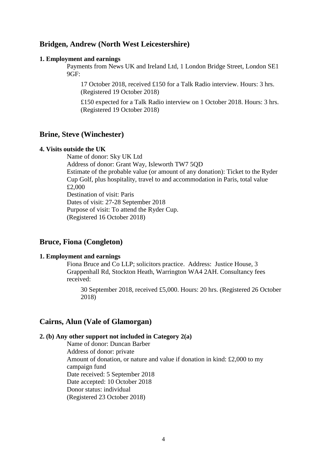## **Bridgen, Andrew (North West Leicestershire)**

#### **1. Employment and earnings**

Payments from News UK and Ireland Ltd, 1 London Bridge Street, London SE1 9GF:

17 October 2018, received £150 for a Talk Radio interview. Hours: 3 hrs. (Registered 19 October 2018)

£150 expected for a Talk Radio interview on 1 October 2018. Hours: 3 hrs. (Registered 19 October 2018)

### **Brine, Steve (Winchester)**

#### **4. Visits outside the UK**

Name of donor: Sky UK Ltd Address of donor: Grant Way, Isleworth TW7 5QD Estimate of the probable value (or amount of any donation): Ticket to the Ryder Cup Golf, plus hospitality, travel to and accommodation in Paris, total value £2,000 Destination of visit: Paris Dates of visit: 27-28 September 2018 Purpose of visit: To attend the Ryder Cup. (Registered 16 October 2018)

## **Bruce, Fiona (Congleton)**

#### **1. Employment and earnings**

Fiona Bruce and Co LLP; solicitors practice. Address: Justice House, 3 Grappenhall Rd, Stockton Heath, Warrington WA4 2AH. Consultancy fees received:

30 September 2018, received £5,000. Hours: 20 hrs. (Registered 26 October 2018)

## **Cairns, Alun (Vale of Glamorgan)**

#### **2. (b) Any other support not included in Category 2(a)**

Name of donor: Duncan Barber Address of donor: private Amount of donation, or nature and value if donation in kind: £2,000 to my campaign fund Date received: 5 September 2018 Date accepted: 10 October 2018 Donor status: individual (Registered 23 October 2018)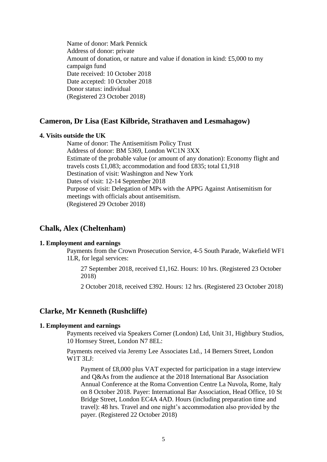Name of donor: Mark Pennick Address of donor: private Amount of donation, or nature and value if donation in kind: £5,000 to my campaign fund Date received: 10 October 2018 Date accepted: 10 October 2018 Donor status: individual (Registered 23 October 2018)

## **Cameron, Dr Lisa (East Kilbride, Strathaven and Lesmahagow)**

#### **4. Visits outside the UK**

Name of donor: The Antisemitism Policy Trust Address of donor: BM 5369, London WC1N 3XX Estimate of the probable value (or amount of any donation): Economy flight and travels costs £1,083; accommodation and food £835; total £1,918 Destination of visit: Washington and New York Dates of visit: 12-14 September 2018 Purpose of visit: Delegation of MPs with the APPG Against Antisemitism for meetings with officials about antisemitism. (Registered 29 October 2018)

## **Chalk, Alex (Cheltenham)**

#### **1. Employment and earnings**

Payments from the Crown Prosecution Service, 4-5 South Parade, Wakefield WF1 1LR, for legal services:

27 September 2018, received £1,162. Hours: 10 hrs. (Registered 23 October 2018)

2 October 2018, received £392. Hours: 12 hrs. (Registered 23 October 2018)

## **Clarke, Mr Kenneth (Rushcliffe)**

#### **1. Employment and earnings**

Payments received via Speakers Corner (London) Ltd, Unit 31, Highbury Studios, 10 Hornsey Street, London N7 8EL:

Payments received via Jeremy Lee Associates Ltd., 14 Berners Street, London W1T 3LJ:

Payment of £8,000 plus VAT expected for participation in a stage interview and Q&As from the audience at the 2018 International Bar Association Annual Conference at the Roma Convention Centre La Nuvola, Rome, Italy on 8 October 2018. Payer: International Bar Association, Head Office, 10 St Bridge Street, London EC4A 4AD. Hours (including preparation time and travel): 48 hrs. Travel and one night's accommodation also provided by the payer. (Registered 22 October 2018)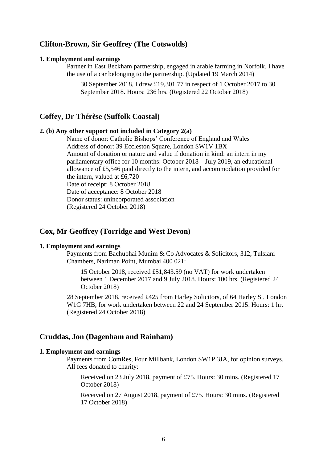## **Clifton-Brown, Sir Geoffrey (The Cotswolds)**

#### **1. Employment and earnings**

Partner in East Beckham partnership, engaged in arable farming in Norfolk. I have the use of a car belonging to the partnership. (Updated 19 March 2014)

30 September 2018, I drew £19,301.77 in respect of 1 October 2017 to 30 September 2018. Hours: 236 hrs. (Registered 22 October 2018)

### **Coffey, Dr Thérèse (Suffolk Coastal)**

#### **2. (b) Any other support not included in Category 2(a)**

Name of donor: Catholic Bishops' Conference of England and Wales Address of donor: 39 Eccleston Square, London SW1V 1BX Amount of donation or nature and value if donation in kind: an intern in my parliamentary office for 10 months: October 2018 – July 2019, an educational allowance of £5,546 paid directly to the intern, and accommodation provided for the intern, valued at £6,720 Date of receipt: 8 October 2018 Date of acceptance: 8 October 2018 Donor status: unincorporated association (Registered 24 October 2018)

## **Cox, Mr Geoffrey (Torridge and West Devon)**

## **1. Employment and earnings**

Payments from Bachubhai Munim & Co Advocates & Solicitors, 312, Tulsiani Chambers, Nariman Point, Mumbai 400 021:

15 October 2018, received £51,843.59 (no VAT) for work undertaken between 1 December 2017 and 9 July 2018. Hours: 100 hrs. (Registered 24 October 2018)

28 September 2018, received £425 from Harley Solicitors, of 64 Harley St, London W1G 7HB, for work undertaken between 22 and 24 September 2015. Hours: 1 hr. (Registered 24 October 2018)

## **Cruddas, Jon (Dagenham and Rainham)**

### **1. Employment and earnings**

Payments from ComRes, Four Millbank, London SW1P 3JA, for opinion surveys. All fees donated to charity:

Received on 23 July 2018, payment of £75. Hours: 30 mins. (Registered 17 October 2018)

Received on 27 August 2018, payment of £75. Hours: 30 mins. (Registered 17 October 2018)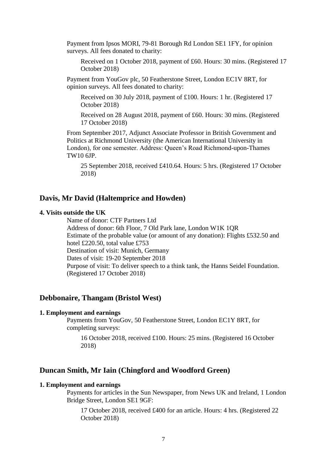Payment from Ipsos MORI, 79-81 Borough Rd London SE1 1FY, for opinion surveys. All fees donated to charity:

Received on 1 October 2018, payment of £60. Hours: 30 mins. (Registered 17 October 2018)

Payment from YouGov plc, 50 Featherstone Street, London EC1V 8RT, for opinion surveys. All fees donated to charity:

Received on 30 July 2018, payment of £100. Hours: 1 hr. (Registered 17 October 2018)

Received on 28 August 2018, payment of £60. Hours: 30 mins. (Registered 17 October 2018)

From September 2017, Adjunct Associate Professor in British Government and Politics at Richmond University (the American International University in London), for one semester. Address: Queen's Road Richmond-upon-Thames TW10 6JP.

25 September 2018, received £410.64. Hours: 5 hrs. (Registered 17 October 2018)

## **Davis, Mr David (Haltemprice and Howden)**

### **4. Visits outside the UK**

Name of donor: CTF Partners Ltd Address of donor: 6th Floor, 7 Old Park lane, London W1K 1QR Estimate of the probable value (or amount of any donation): Flights £532.50 and hotel £220.50, total value £753 Destination of visit: Munich, Germany Dates of visit: 19-20 September 2018 Purpose of visit: To deliver speech to a think tank, the Hanns Seidel Foundation. (Registered 17 October 2018)

## **Debbonaire, Thangam (Bristol West)**

#### **1. Employment and earnings**

Payments from YouGov, 50 Featherstone Street, London EC1Y 8RT, for completing surveys:

16 October 2018, received £100. Hours: 25 mins. (Registered 16 October 2018)

## **Duncan Smith, Mr Iain (Chingford and Woodford Green)**

### **1. Employment and earnings**

Payments for articles in the Sun Newspaper, from News UK and Ireland, 1 London Bridge Street, London SE1 9GF:

17 October 2018, received £400 for an article. Hours: 4 hrs. (Registered 22 October 2018)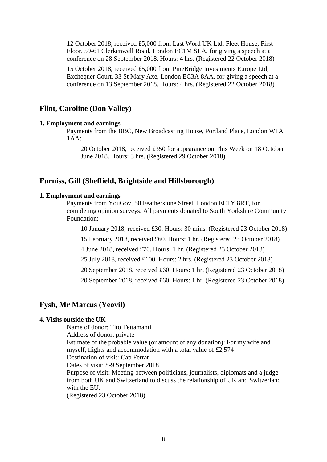12 October 2018, received £5,000 from Last Word UK Ltd, Fleet House, First Floor, 59-61 Clerkenwell Road, London EC1M SLA, for giving a speech at a conference on 28 September 2018. Hours: 4 hrs. (Registered 22 October 2018)

15 October 2018, received £5,000 from PineBridge Investments Europe Ltd, Exchequer Court, 33 St Mary Axe, London EC3A 8AA, for giving a speech at a conference on 13 September 2018. Hours: 4 hrs. (Registered 22 October 2018)

## **Flint, Caroline (Don Valley)**

### **1. Employment and earnings**

Payments from the BBC, New Broadcasting House, Portland Place, London W1A 1AA:

20 October 2018, received £350 for appearance on This Week on 18 October June 2018. Hours: 3 hrs. (Registered 29 October 2018)

## **Furniss, Gill (Sheffield, Brightside and Hillsborough)**

#### **1. Employment and earnings**

Payments from YouGov, 50 Featherstone Street, London EC1Y 8RT, for completing opinion surveys. All payments donated to South Yorkshire Community Foundation:

10 January 2018, received £30. Hours: 30 mins. (Registered 23 October 2018)

15 February 2018, received £60. Hours: 1 hr. (Registered 23 October 2018)

4 June 2018, received £70. Hours: 1 hr. (Registered 23 October 2018)

25 July 2018, received £100. Hours: 2 hrs. (Registered 23 October 2018)

20 September 2018, received £60. Hours: 1 hr. (Registered 23 October 2018)

20 September 2018, received £60. Hours: 1 hr. (Registered 23 October 2018)

### **Fysh, Mr Marcus (Yeovil)**

#### **4. Visits outside the UK**

Name of donor: Tito Tettamanti Address of donor: private Estimate of the probable value (or amount of any donation): For my wife and myself, flights and accommodation with a total value of £2,574 Destination of visit: Cap Ferrat Dates of visit: 8-9 September 2018 Purpose of visit: Meeting between politicians, journalists, diplomats and a judge from both UK and Switzerland to discuss the relationship of UK and Switzerland with the EU. (Registered 23 October 2018)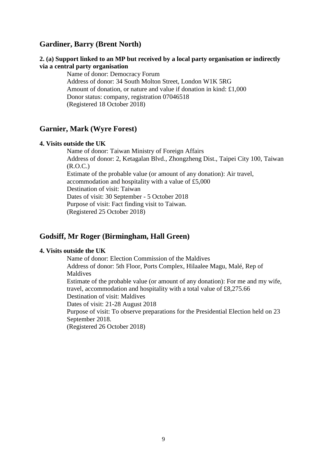## **Gardiner, Barry (Brent North)**

## **2. (a) Support linked to an MP but received by a local party organisation or indirectly via a central party organisation**

Name of donor: Democracy Forum Address of donor: 34 South Molton Street, London W1K 5RG Amount of donation, or nature and value if donation in kind: £1,000 Donor status: company, registration 07046518 (Registered 18 October 2018)

## **Garnier, Mark (Wyre Forest)**

### **4. Visits outside the UK**

Name of donor: Taiwan Ministry of Foreign Affairs Address of donor: 2, Ketagalan Blvd., Zhongzheng Dist., Taipei City 100, Taiwan (R.O.C.) Estimate of the probable value (or amount of any donation): Air travel, accommodation and hospitality with a value of £5,000 Destination of visit: Taiwan Dates of visit: 30 September - 5 October 2018 Purpose of visit: Fact finding visit to Taiwan. (Registered 25 October 2018)

## **Godsiff, Mr Roger (Birmingham, Hall Green)**

## **4. Visits outside the UK**

Name of donor: Election Commission of the Maldives Address of donor: 5th Floor, Ports Complex, Hilaalee Magu, Malé, Rep of Maldives Estimate of the probable value (or amount of any donation): For me and my wife, travel, accommodation and hospitality with a total value of £8,275.66 Destination of visit: Maldives Dates of visit: 21-28 August 2018 Purpose of visit: To observe preparations for the Presidential Election held on 23 September 2018. (Registered 26 October 2018)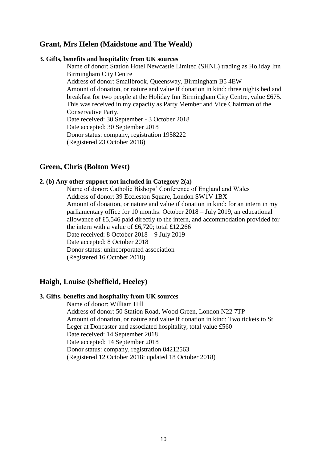## **Grant, Mrs Helen (Maidstone and The Weald)**

#### **3. Gifts, benefits and hospitality from UK sources**

Name of donor: Station Hotel Newcastle Limited (SHNL) trading as Holiday Inn Birmingham City Centre Address of donor: Smallbrook, Queensway, Birmingham B5 4EW Amount of donation, or nature and value if donation in kind: three nights bed and breakfast for two people at the Holiday Inn Birmingham City Centre, value £675. This was received in my capacity as Party Member and Vice Chairman of the Conservative Party. Date received: 30 September - 3 October 2018 Date accepted: 30 September 2018 Donor status: company, registration 1958222 (Registered 23 October 2018)

## **Green, Chris (Bolton West)**

#### **2. (b) Any other support not included in Category 2(a)**

Name of donor: Catholic Bishops' Conference of England and Wales Address of donor: 39 Eccleston Square, London SW1V 1BX Amount of donation, or nature and value if donation in kind: for an intern in my parliamentary office for 10 months: October 2018 – July 2019, an educational allowance of £5,546 paid directly to the intern, and accommodation provided for the intern with a value of £6,720; total £12,266 Date received: 8 October 2018 – 9 July 2019 Date accepted: 8 October 2018 Donor status: unincorporated association (Registered 16 October 2018)

## **Haigh, Louise (Sheffield, Heeley)**

#### **3. Gifts, benefits and hospitality from UK sources**

Name of donor: William Hill Address of donor: 50 Station Road, Wood Green, London N22 7TP Amount of donation, or nature and value if donation in kind: Two tickets to St Leger at Doncaster and associated hospitality, total value £560 Date received: 14 September 2018 Date accepted: 14 September 2018 Donor status: company, registration 04212563 (Registered 12 October 2018; updated 18 October 2018)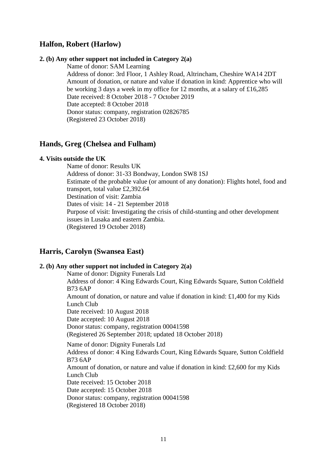## **Halfon, Robert (Harlow)**

#### **2. (b) Any other support not included in Category 2(a)**

Name of donor: SAM Learning

Address of donor: 3rd Floor, 1 Ashley Road, Altrincham, Cheshire WA14 2DT Amount of donation, or nature and value if donation in kind: Apprentice who will be working 3 days a week in my office for 12 months, at a salary of £16,285 Date received: 8 October 2018 - 7 October 2019 Date accepted: 8 October 2018 Donor status: company, registration 02826785 (Registered 23 October 2018)

## **Hands, Greg (Chelsea and Fulham)**

#### **4. Visits outside the UK**

Name of donor: Results UK Address of donor: 31-33 Bondway, London SW8 1SJ Estimate of the probable value (or amount of any donation): Flights hotel, food and transport, total value £2,392.64 Destination of visit: Zambia Dates of visit: 14 - 21 September 2018 Purpose of visit: Investigating the crisis of child-stunting and other development issues in Lusaka and eastern Zambia. (Registered 19 October 2018)

## **Harris, Carolyn (Swansea East)**

#### **2. (b) Any other support not included in Category 2(a)**

Name of donor: Dignity Funerals Ltd Address of donor: 4 King Edwards Court, King Edwards Square, Sutton Coldfield B73 6AP Amount of donation, or nature and value if donation in kind: £1,400 for my Kids Lunch Club Date received: 10 August 2018 Date accepted: 10 August 2018 Donor status: company, registration 00041598 (Registered 26 September 2018; updated 18 October 2018) Name of donor: Dignity Funerals Ltd Address of donor: 4 King Edwards Court, King Edwards Square, Sutton Coldfield B73 6AP Amount of donation, or nature and value if donation in kind: £2,600 for my Kids Lunch Club Date received: 15 October 2018 Date accepted: 15 October 2018 Donor status: company, registration 00041598 (Registered 18 October 2018)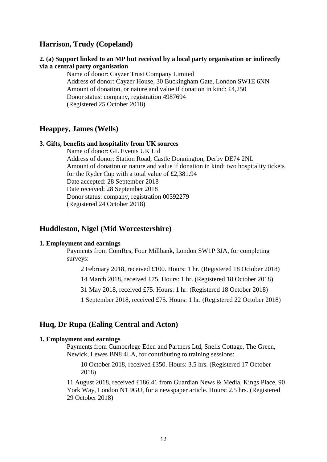## **Harrison, Trudy (Copeland)**

### **2. (a) Support linked to an MP but received by a local party organisation or indirectly via a central party organisation**

Name of donor: Cayzer Trust Company Limited Address of donor: Cayzer House, 30 Buckingham Gate, London SW1E 6NN Amount of donation, or nature and value if donation in kind: £4,250 Donor status: company, registration 4987694 (Registered 25 October 2018)

## **Heappey, James (Wells)**

#### **3. Gifts, benefits and hospitality from UK sources**

Name of donor: GL Events UK Ltd Address of donor: Station Road, Castle Donnington, Derby DE74 2NL Amount of donation or nature and value if donation in kind: two hospitality tickets for the Ryder Cup with a total value of £2,381.94 Date accepted: 28 September 2018 Date received: 28 September 2018 Donor status: company, registration 00392279 (Registered 24 October 2018)

### **Huddleston, Nigel (Mid Worcestershire)**

#### **1. Employment and earnings**

Payments from ComRes, Four Millbank, London SW1P 3JA, for completing surveys:

2 February 2018, received £100. Hours: 1 hr. (Registered 18 October 2018)

14 March 2018, received £75. Hours: 1 hr. (Registered 18 October 2018)

31 May 2018, received £75. Hours: 1 hr. (Registered 18 October 2018)

1 September 2018, received £75. Hours: 1 hr. (Registered 22 October 2018)

### **Huq, Dr Rupa (Ealing Central and Acton)**

#### **1. Employment and earnings**

Payments from Cumberlege Eden and Partners Ltd, Snells Cottage, The Green, Newick, Lewes BN8 4LA, for contributing to training sessions:

10 October 2018, received £350. Hours: 3.5 hrs. (Registered 17 October 2018)

11 August 2018, received £186.41 from Guardian News & Media, Kings Place, 90 York Way, London N1 9GU, for a newspaper article. Hours: 2.5 hrs. (Registered 29 October 2018)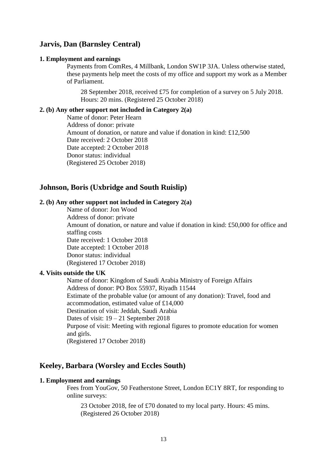## **Jarvis, Dan (Barnsley Central)**

#### **1. Employment and earnings**

Payments from ComRes, 4 Millbank, London SW1P 3JA. Unless otherwise stated, these payments help meet the costs of my office and support my work as a Member of Parliament.

28 September 2018, received £75 for completion of a survey on 5 July 2018. Hours: 20 mins. (Registered 25 October 2018)

### **2. (b) Any other support not included in Category 2(a)**

Name of donor: Peter Hearn Address of donor: private Amount of donation, or nature and value if donation in kind: £12,500 Date received: 2 October 2018 Date accepted: 2 October 2018 Donor status: individual (Registered 25 October 2018)

## **Johnson, Boris (Uxbridge and South Ruislip)**

## **2. (b) Any other support not included in Category 2(a)**

Name of donor: Jon Wood Address of donor: private Amount of donation, or nature and value if donation in kind: £50,000 for office and staffing costs Date received: 1 October 2018 Date accepted: 1 October 2018 Donor status: individual (Registered 17 October 2018)

### **4. Visits outside the UK**

Name of donor: Kingdom of Saudi Arabia Ministry of Foreign Affairs Address of donor: PO Box 55937, Riyadh 11544 Estimate of the probable value (or amount of any donation): Travel, food and accommodation, estimated value of £14,000 Destination of visit: Jeddah, Saudi Arabia Dates of visit: 19 – 21 September 2018 Purpose of visit: Meeting with regional figures to promote education for women and girls. (Registered 17 October 2018)

## **Keeley, Barbara (Worsley and Eccles South)**

#### **1. Employment and earnings**

Fees from YouGov, 50 Featherstone Street, London EC1Y 8RT, for responding to online surveys:

23 October 2018, fee of £70 donated to my local party. Hours: 45 mins. (Registered 26 October 2018)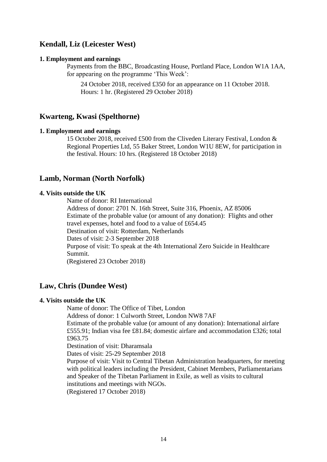## **Kendall, Liz (Leicester West)**

#### **1. Employment and earnings**

Payments from the BBC, Broadcasting House, Portland Place, London W1A 1AA, for appearing on the programme 'This Week':

24 October 2018, received £350 for an appearance on 11 October 2018. Hours: 1 hr. (Registered 29 October 2018)

## **Kwarteng, Kwasi (Spelthorne)**

#### **1. Employment and earnings**

15 October 2018, received £500 from the Cliveden Literary Festival, London & Regional Properties Ltd, 55 Baker Street, London W1U 8EW, for participation in the festival. Hours: 10 hrs. (Registered 18 October 2018)

## **Lamb, Norman (North Norfolk)**

#### **4. Visits outside the UK**

Name of donor: RI International

Address of donor: 2701 N. 16th Street, Suite 316, Phoenix, AZ 85006 Estimate of the probable value (or amount of any donation): Flights and other travel expenses, hotel and food to a value of £654.45 Destination of visit: Rotterdam, Netherlands Dates of visit: 2-3 September 2018 Purpose of visit: To speak at the 4th International Zero Suicide in Healthcare Summit.

(Registered 23 October 2018)

## **Law, Chris (Dundee West)**

#### **4. Visits outside the UK**

Name of donor: The Office of Tibet, London

Address of donor: 1 Culworth Street, London NW8 7AF

Estimate of the probable value (or amount of any donation): International airfare £555.91; Indian visa fee £81.84; domestic airfare and accommodation £326; total £963.75

Destination of visit: Dharamsala

Dates of visit: 25-29 September 2018

Purpose of visit: Visit to Central Tibetan Administration headquarters, for meeting with political leaders including the President, Cabinet Members, Parliamentarians and Speaker of the Tibetan Parliament in Exile, as well as visits to cultural institutions and meetings with NGOs.

(Registered 17 October 2018)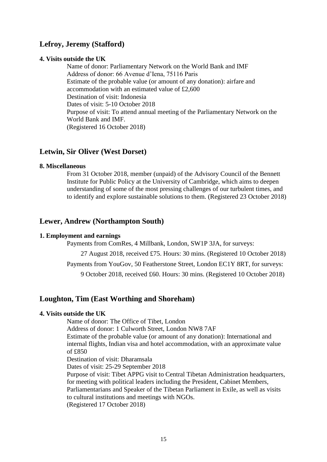## **Lefroy, Jeremy (Stafford)**

### **4. Visits outside the UK**

Name of donor: Parliamentary Network on the World Bank and IMF Address of donor: 66 Avenue d'Iena, 75116 Paris Estimate of the probable value (or amount of any donation): airfare and accommodation with an estimated value of £2,600 Destination of visit: Indonesia Dates of visit: 5-10 October 2018 Purpose of visit: To attend annual meeting of the Parliamentary Network on the World Bank and IMF. (Registered 16 October 2018)

## **Letwin, Sir Oliver (West Dorset)**

### **8. Miscellaneous**

From 31 October 2018, member (unpaid) of the Advisory Council of the Bennett Institute for Public Policy at the University of Cambridge, which aims to deepen understanding of some of the most pressing challenges of our turbulent times, and to identify and explore sustainable solutions to them. (Registered 23 October 2018)

## **Lewer, Andrew (Northampton South)**

## **1. Employment and earnings**

Payments from ComRes, 4 Millbank, London, SW1P 3JA, for surveys:

27 August 2018, received £75. Hours: 30 mins. (Registered 10 October 2018)

Payments from YouGov, 50 Featherstone Street, London EC1Y 8RT, for surveys:

9 October 2018, received £60. Hours: 30 mins. (Registered 10 October 2018)

## **Loughton, Tim (East Worthing and Shoreham)**

## **4. Visits outside the UK**

Name of donor: The Office of Tibet, London Address of donor: 1 Culworth Street, London NW8 7AF Estimate of the probable value (or amount of any donation): International and internal flights, Indian visa and hotel accommodation, with an approximate value of £850 Destination of visit: Dharamsala Dates of visit: 25-29 September 2018 Purpose of visit: Tibet APPG visit to Central Tibetan Administration headquarters, for meeting with political leaders including the President, Cabinet Members, Parliamentarians and Speaker of the Tibetan Parliament in Exile, as well as visits to cultural institutions and meetings with NGOs. (Registered 17 October 2018)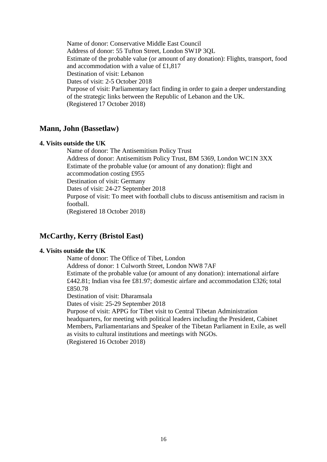Name of donor: Conservative Middle East Council Address of donor: 55 Tufton Street, London SW1P 3QL Estimate of the probable value (or amount of any donation): Flights, transport, food and accommodation with a value of £1,817 Destination of visit: Lebanon Dates of visit: 2-5 October 2018 Purpose of visit: Parliamentary fact finding in order to gain a deeper understanding of the strategic links between the Republic of Lebanon and the UK. (Registered 17 October 2018)

## **Mann, John (Bassetlaw)**

## **4. Visits outside the UK**

Name of donor: The Antisemitism Policy Trust Address of donor: Antisemitism Policy Trust, BM 5369, London WC1N 3XX Estimate of the probable value (or amount of any donation): flight and accommodation costing £955 Destination of visit: Germany Dates of visit: 24-27 September 2018 Purpose of visit: To meet with football clubs to discuss antisemitism and racism in football. (Registered 18 October 2018)

## **McCarthy, Kerry (Bristol East)**

## **4. Visits outside the UK**

Name of donor: The Office of Tibet, London Address of donor: 1 Culworth Street, London NW8 7AF Estimate of the probable value (or amount of any donation): international airfare £442.81; Indian visa fee £81.97; domestic airfare and accommodation £326; total £850.78 Destination of visit: Dharamsala Dates of visit: 25-29 September 2018 Purpose of visit: APPG for Tibet visit to Central Tibetan Administration headquarters, for meeting with political leaders including the President, Cabinet Members, Parliamentarians and Speaker of the Tibetan Parliament in Exile, as well as visits to cultural institutions and meetings with NGOs.

(Registered 16 October 2018)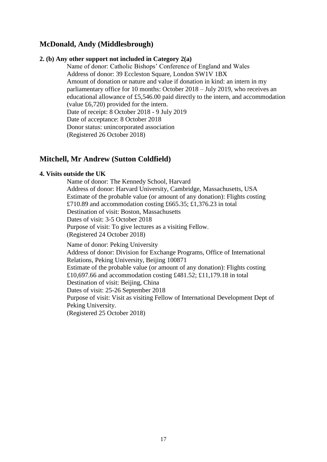## **McDonald, Andy (Middlesbrough)**

## **2. (b) Any other support not included in Category 2(a)**

Name of donor: Catholic Bishops' Conference of England and Wales Address of donor: 39 Eccleston Square, London SW1V 1BX Amount of donation or nature and value if donation in kind: an intern in my parliamentary office for 10 months: October 2018 – July 2019, who receives an educational allowance of £5,546.00 paid directly to the intern, and accommodation (value £6,720) provided for the intern. Date of receipt: 8 October 2018 - 9 July 2019 Date of acceptance: 8 October 2018 Donor status: unincorporated association (Registered 26 October 2018)

## **Mitchell, Mr Andrew (Sutton Coldfield)**

## **4. Visits outside the UK**

Name of donor: The Kennedy School, Harvard Address of donor: Harvard University, Cambridge, Massachusetts, USA Estimate of the probable value (or amount of any donation): Flights costing £710.89 and accommodation costing £665.35; £1,376.23 in total Destination of visit: Boston, Massachusetts Dates of visit: 3-5 October 2018 Purpose of visit: To give lectures as a visiting Fellow. (Registered 24 October 2018)

Name of donor: Peking University Address of donor: Division for Exchange Programs, Office of International Relations, Peking University, Beijing 100871 Estimate of the probable value (or amount of any donation): Flights costing £10,697.66 and accommodation costing £481.52; £11,179.18 in total Destination of visit: Beijing, China Dates of visit: 25-26 September 2018 Purpose of visit: Visit as visiting Fellow of International Development Dept of Peking University. (Registered 25 October 2018)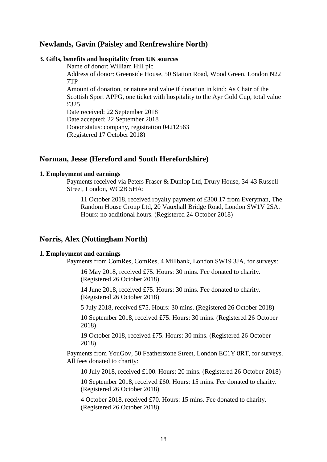## **Newlands, Gavin (Paisley and Renfrewshire North)**

#### **3. Gifts, benefits and hospitality from UK sources**

Name of donor: William Hill plc Address of donor: Greenside House, 50 Station Road, Wood Green, London N22 7TP

Amount of donation, or nature and value if donation in kind: As Chair of the Scottish Sport APPG, one ticket with hospitality to the Ayr Gold Cup, total value £325

Date received: 22 September 2018 Date accepted: 22 September 2018 Donor status: company, registration 04212563 (Registered 17 October 2018)

## **Norman, Jesse (Hereford and South Herefordshire)**

#### **1. Employment and earnings**

Payments received via Peters Fraser & Dunlop Ltd, Drury House, 34-43 Russell Street, London, WC2B 5HA:

11 October 2018, received royalty payment of £300.17 from Everyman, The Random House Group Ltd, 20 Vauxhall Bridge Road, London SW1V 2SA. Hours: no additional hours. (Registered 24 October 2018)

## **Norris, Alex (Nottingham North)**

#### **1. Employment and earnings**

Payments from ComRes, ComRes, 4 Millbank, London SW19 3JA, for surveys:

16 May 2018, received £75. Hours: 30 mins. Fee donated to charity. (Registered 26 October 2018)

14 June 2018, received £75. Hours: 30 mins. Fee donated to charity. (Registered 26 October 2018)

5 July 2018, received £75. Hours: 30 mins. (Registered 26 October 2018)

10 September 2018, received £75. Hours: 30 mins. (Registered 26 October 2018)

19 October 2018, received £75. Hours: 30 mins. (Registered 26 October 2018)

Payments from YouGov, 50 Featherstone Street, London EC1Y 8RT, for surveys. All fees donated to charity:

10 July 2018, received £100. Hours: 20 mins. (Registered 26 October 2018)

10 September 2018, received £60. Hours: 15 mins. Fee donated to charity. (Registered 26 October 2018)

4 October 2018, received £70. Hours: 15 mins. Fee donated to charity. (Registered 26 October 2018)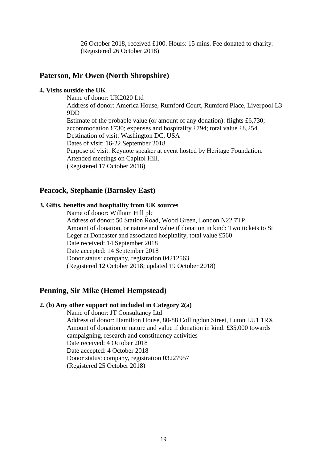26 October 2018, received £100. Hours: 15 mins. Fee donated to charity. (Registered 26 October 2018)

## **Paterson, Mr Owen (North Shropshire)**

### **4. Visits outside the UK**

Name of donor: UK2020 Ltd Address of donor: America House, Rumford Court, Rumford Place, Liverpool L3 9DD Estimate of the probable value (or amount of any donation): flights £6,730; accommodation £730; expenses and hospitality £794; total value £8,254 Destination of visit: Washington DC, USA Dates of visit: 16-22 September 2018 Purpose of visit: Keynote speaker at event hosted by Heritage Foundation. Attended meetings on Capitol Hill. (Registered 17 October 2018)

## **Peacock, Stephanie (Barnsley East)**

## **3. Gifts, benefits and hospitality from UK sources**

Name of donor: William Hill plc Address of donor: 50 Station Road, Wood Green, London N22 7TP Amount of donation, or nature and value if donation in kind: Two tickets to St Leger at Doncaster and associated hospitality, total value £560 Date received: 14 September 2018 Date accepted: 14 September 2018 Donor status: company, registration 04212563 (Registered 12 October 2018; updated 19 October 2018)

## **Penning, Sir Mike (Hemel Hempstead)**

#### **2. (b) Any other support not included in Category 2(a)**

Name of donor: JT Consultancy Ltd Address of donor: Hamilton House, 80-88 Collingdon Street, Luton LU1 1RX Amount of donation or nature and value if donation in kind: £35,000 towards campaigning, research and constituency activities Date received: 4 October 2018 Date accepted: 4 October 2018 Donor status: company, registration 03227957 (Registered 25 October 2018)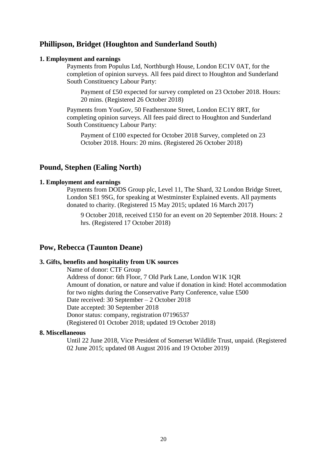## **Phillipson, Bridget (Houghton and Sunderland South)**

#### **1. Employment and earnings**

Payments from Populus Ltd, Northburgh House, London EC1V 0AT, for the completion of opinion surveys. All fees paid direct to Houghton and Sunderland South Constituency Labour Party:

Payment of £50 expected for survey completed on 23 October 2018. Hours: 20 mins. (Registered 26 October 2018)

Payments from YouGov, 50 Featherstone Street, London EC1Y 8RT, for completing opinion surveys. All fees paid direct to Houghton and Sunderland South Constituency Labour Party:

Payment of £100 expected for October 2018 Survey, completed on 23 October 2018. Hours: 20 mins. (Registered 26 October 2018)

## **Pound, Stephen (Ealing North)**

#### **1. Employment and earnings**

Payments from DODS Group plc, Level 11, The Shard, 32 London Bridge Street, London SE1 9SG, for speaking at Westminster Explained events. All payments donated to charity. (Registered 15 May 2015; updated 16 March 2017)

9 October 2018, received £150 for an event on 20 September 2018. Hours: 2 hrs. (Registered 17 October 2018)

### **Pow, Rebecca (Taunton Deane)**

#### **3. Gifts, benefits and hospitality from UK sources**

Name of donor: CTF Group Address of donor: 6th Floor, 7 Old Park Lane, London W1K 1QR Amount of donation, or nature and value if donation in kind: Hotel accommodation for two nights during the Conservative Party Conference, value £500 Date received: 30 September – 2 October 2018 Date accepted: 30 September 2018 Donor status: company, registration 07196537 (Registered 01 October 2018; updated 19 October 2018)

#### **8. Miscellaneous**

Until 22 June 2018, Vice President of Somerset Wildlife Trust, unpaid. (Registered 02 June 2015; updated 08 August 2016 and 19 October 2019)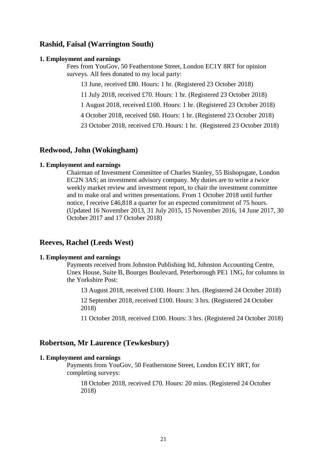## **Rashid, Faisal (Warrington South)**

#### **1. Employment and earnings**

Fees from YouGov, 50 Featherstone Street, London EC1Y 8RT for opinion surveys. All fees donated to my local party:

13 June, received £80. Hours: 1 hr. (Registered 23 October 2018)

11 July 2018, received £70. Hours: 1 hr. (Registered 23 October 2018)

1 August 2018, received £100. Hours: 1 hr. (Registered 23 October 2018)

4 October 2018, received £60. Hours: 1 hr. (Registered 23 October 2018)

23 October 2018, received £70. Hours: 1 hr. (Registered 23 October 2018)

## **Redwood, John (Wokingham)**

#### **1. Employment and earnings**

Chairman of Investment Committee of Charles Stanley, 55 Bishopsgate, London EC2N 3AS; an investment advisory company. My duties are to write a twice weekly market review and investment report, to chair the investment committee and to make oral and written presentations. From 1 October 2018 until further notice, I receive £46,818 a quarter for an expected commitment of 75 hours. (Updated 16 November 2013, 31 July 2015, 15 November 2016, 14 June 2017, 30 October 2017 and 17 October 2018)

## **Reeves, Rachel (Leeds West)**

#### **1. Employment and earnings**

Payments received from Johnston Publishing ltd, Johnston Accounting Centre, Unex House, Suite B, Bourges Boulevard, Peterborough PE1 1NG, for columns in the Yorkshire Post:

13 August 2018, received £100. Hours: 3 hrs. (Registered 24 October 2018)

12 September 2018, received £100. Hours: 3 hrs. (Registered 24 October 2018)

11 October 2018, received £100. Hours: 3 hrs. (Registered 24 October 2018)

#### **Robertson, Mr Laurence (Tewkesbury)**

### **1. Employment and earnings**

Payments from YouGov, 50 Featherstone Street, London EC1Y 8RT, for completing surveys:

18 October 2018, received £70. Hours: 20 mins. (Registered 24 October 2018)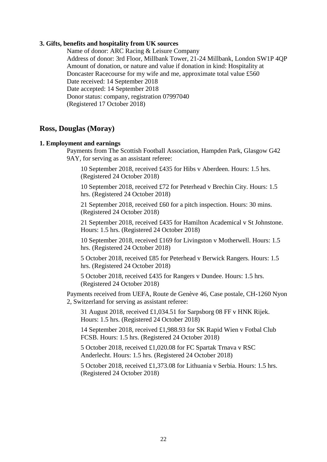#### **3. Gifts, benefits and hospitality from UK sources**

Name of donor: ARC Racing & Leisure Company Address of donor: 3rd Floor, Millbank Tower, 21-24 Millbank, London SW1P 4QP Amount of donation, or nature and value if donation in kind: Hospitality at Doncaster Racecourse for my wife and me, approximate total value £560 Date received: 14 September 2018 Date accepted: 14 September 2018 Donor status: company, registration 07997040 (Registered 17 October 2018)

## **Ross, Douglas (Moray)**

#### **1. Employment and earnings**

Payments from The Scottish Football Association, Hampden Park, Glasgow G42 9AY, for serving as an assistant referee:

10 September 2018, received £435 for Hibs v Aberdeen. Hours: 1.5 hrs. (Registered 24 October 2018)

10 September 2018, received £72 for Peterhead v Brechin City. Hours: 1.5 hrs. (Registered 24 October 2018)

21 September 2018, received £60 for a pitch inspection. Hours: 30 mins. (Registered 24 October 2018)

21 September 2018, received £435 for Hamilton Academical v St Johnstone. Hours: 1.5 hrs. (Registered 24 October 2018)

10 September 2018, received £169 for Livingston v Motherwell. Hours: 1.5 hrs. (Registered 24 October 2018)

5 October 2018, received £85 for Peterhead v Berwick Rangers. Hours: 1.5 hrs. (Registered 24 October 2018)

5 October 2018, received £435 for Rangers v Dundee. Hours: 1.5 hrs. (Registered 24 October 2018)

Payments received from UEFA, Route de Genève 46, Case postale, CH-1260 Nyon 2, Switzerland for serving as assistant referee:

31 August 2018, received £1,034.51 for Sarpsborg 08 FF v HNK Rijek. Hours: 1.5 hrs. (Registered 24 October 2018)

14 September 2018, received £1,988.93 for SK Rapid Wien v Fotbal Club FCSB. Hours: 1.5 hrs. (Registered 24 October 2018)

5 October 2018, received £1,020.08 for FC Spartak Trnava v RSC Anderlecht. Hours: 1.5 hrs. (Registered 24 October 2018)

5 October 2018, received £1,373.08 for Lithuania v Serbia. Hours: 1.5 hrs. (Registered 24 October 2018)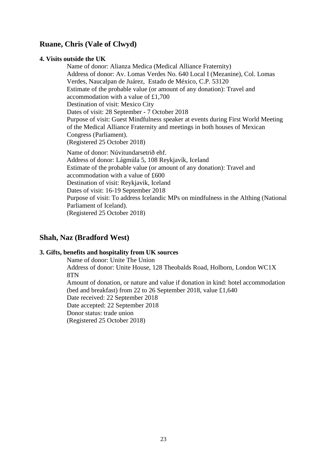## **Ruane, Chris (Vale of Clwyd)**

## **4. Visits outside the UK**

Name of donor: Alianza Medica (Medical Alliance Fraternity) Address of donor: Av. Lomas Verdes No. 640 Local I (Mezanine), Col. Lomas Verdes, Naucalpan de Juárez, Estado de México, C.P. 53120 Estimate of the probable value (or amount of any donation): Travel and accommodation with a value of £1,700 Destination of visit: Mexico City Dates of visit: 28 September - 7 October 2018 Purpose of visit: Guest Mindfulness speaker at events during First World Meeting of the Medical Alliance Fraternity and meetings in both houses of Mexican Congress (Parliament). (Registered 25 October 2018) Name of donor: Núvitundarsetrið ehf. Address of donor: Lágmúla 5, 108 Reykjavík, Iceland Estimate of the probable value (or amount of any donation): Travel and accommodation with a value of £600 Destination of visit: Reykjavik, Iceland Dates of visit: 16-19 September 2018 Purpose of visit: To address Icelandic MPs on mindfulness in the Althing (National Parliament of Iceland). (Registered 25 October 2018)

## **Shah, Naz (Bradford West)**

## **3. Gifts, benefits and hospitality from UK sources**

Name of donor: Unite The Union Address of donor: Unite House, 128 Theobalds Road, Holborn, London WC1X 8TN Amount of donation, or nature and value if donation in kind: hotel accommodation (bed and breakfast) from 22 to 26 September 2018, value £1,640 Date received: 22 September 2018 Date accepted: 22 September 2018 Donor status: trade union (Registered 25 October 2018)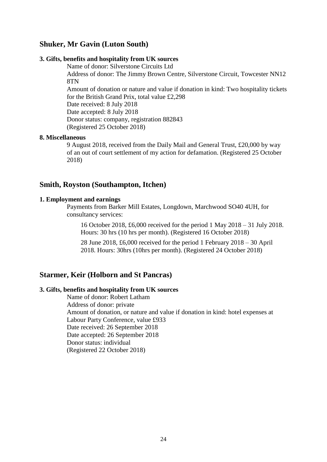## **Shuker, Mr Gavin (Luton South)**

## **3. Gifts, benefits and hospitality from UK sources**

Name of donor: Silverstone Circuits Ltd

Address of donor: The Jimmy Brown Centre, Silverstone Circuit, Towcester NN12 8TN

Amount of donation or nature and value if donation in kind: Two hospitality tickets for the British Grand Prix, total value £2,298

Date received: 8 July 2018

Date accepted: 8 July 2018

Donor status: company, registration 882843 (Registered 25 October 2018)

#### **8. Miscellaneous**

9 August 2018, received from the Daily Mail and General Trust, £20,000 by way of an out of court settlement of my action for defamation. (Registered 25 October 2018)

## **Smith, Royston (Southampton, Itchen)**

### **1. Employment and earnings**

Payments from Barker Mill Estates, Longdown, Marchwood SO40 4UH, for consultancy services:

16 October 2018, £6,000 received for the period 1 May 2018 – 31 July 2018. Hours: 30 hrs (10 hrs per month). (Registered 16 October 2018)

28 June 2018, £6,000 received for the period 1 February 2018 – 30 April 2018. Hours: 30hrs (10hrs per month). (Registered 24 October 2018)

## **Starmer, Keir (Holborn and St Pancras)**

## **3. Gifts, benefits and hospitality from UK sources**

Name of donor: Robert Latham Address of donor: private Amount of donation, or nature and value if donation in kind: hotel expenses at Labour Party Conference, value £933 Date received: 26 September 2018 Date accepted: 26 September 2018 Donor status: individual (Registered 22 October 2018)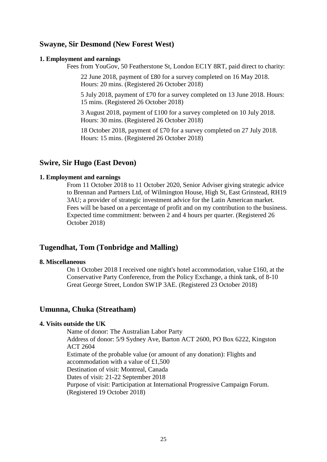## **Swayne, Sir Desmond (New Forest West)**

#### **1. Employment and earnings**

Fees from YouGov, 50 Featherstone St, London EC1Y 8RT, paid direct to charity:

22 June 2018, payment of £80 for a survey completed on 16 May 2018. Hours: 20 mins. (Registered 26 October 2018)

5 July 2018, payment of £70 for a survey completed on 13 June 2018. Hours: 15 mins. (Registered 26 October 2018)

3 August 2018, payment of £100 for a survey completed on 10 July 2018. Hours: 30 mins. (Registered 26 October 2018)

18 October 2018, payment of £70 for a survey completed on 27 July 2018. Hours: 15 mins. (Registered 26 October 2018)

### **Swire, Sir Hugo (East Devon)**

#### **1. Employment and earnings**

From 11 October 2018 to 11 October 2020, Senior Adviser giving strategic advice to Brennan and Partners Ltd, of Wilmington House, High St, East Grinstead, RH19 3AU; a provider of strategic investment advice for the Latin American market. Fees will be based on a percentage of profit and on my contribution to the business. Expected time commitment: between 2 and 4 hours per quarter. (Registered 26 October 2018)

## **Tugendhat, Tom (Tonbridge and Malling)**

#### **8. Miscellaneous**

On 1 October 2018 I received one night's hotel accommodation, value £160, at the Conservative Party Conference, from the Policy Exchange, a think tank, of 8-10 Great George Street, London SW1P 3AE. (Registered 23 October 2018)

## **Umunna, Chuka (Streatham)**

## **4. Visits outside the UK**

Name of donor: The Australian Labor Party Address of donor: 5/9 Sydney Ave, Barton ACT 2600, PO Box 6222, Kingston ACT 2604 Estimate of the probable value (or amount of any donation): Flights and accommodation with a value of £1,500 Destination of visit: Montreal, Canada Dates of visit: 21-22 September 2018 Purpose of visit: Participation at International Progressive Campaign Forum. (Registered 19 October 2018)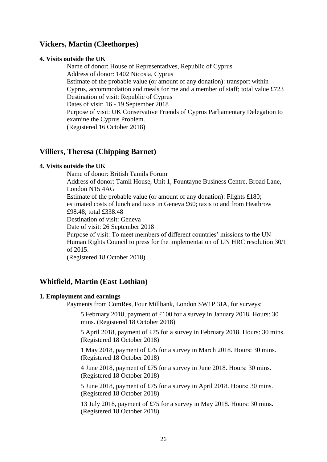## **Vickers, Martin (Cleethorpes)**

### **4. Visits outside the UK**

Name of donor: House of Representatives, Republic of Cyprus Address of donor: 1402 Nicosia, Cyprus Estimate of the probable value (or amount of any donation): transport within Cyprus, accommodation and meals for me and a member of staff; total value £723 Destination of visit: Republic of Cyprus Dates of visit: 16 - 19 September 2018 Purpose of visit: UK Conservative Friends of Cyprus Parliamentary Delegation to examine the Cyprus Problem. (Registered 16 October 2018)

## **Villiers, Theresa (Chipping Barnet)**

## **4. Visits outside the UK**

Name of donor: British Tamils Forum

Address of donor: Tamil House, Unit 1, Fountayne Business Centre, Broad Lane, London N15 4AG

Estimate of the probable value (or amount of any donation): Flights £180; estimated costs of lunch and taxis in Geneva £60; taxis to and from Heathrow £98.48; total £338.48

Destination of visit: Geneva

Date of visit: 26 September 2018

Purpose of visit: To meet members of different countries' missions to the UN Human Rights Council to press for the implementation of UN HRC resolution 30/1 of 2015.

(Registered 18 October 2018)

## **Whitfield, Martin (East Lothian)**

#### **1. Employment and earnings**

Payments from ComRes, Four Millbank, London SW1P 3JA, for surveys:

5 February 2018, payment of £100 for a survey in January 2018. Hours: 30 mins. (Registered 18 October 2018)

5 April 2018, payment of £75 for a survey in February 2018. Hours: 30 mins. (Registered 18 October 2018)

1 May 2018, payment of £75 for a survey in March 2018. Hours: 30 mins. (Registered 18 October 2018)

4 June 2018, payment of £75 for a survey in June 2018. Hours: 30 mins. (Registered 18 October 2018)

5 June 2018, payment of £75 for a survey in April 2018. Hours: 30 mins. (Registered 18 October 2018)

13 July 2018, payment of £75 for a survey in May 2018. Hours: 30 mins. (Registered 18 October 2018)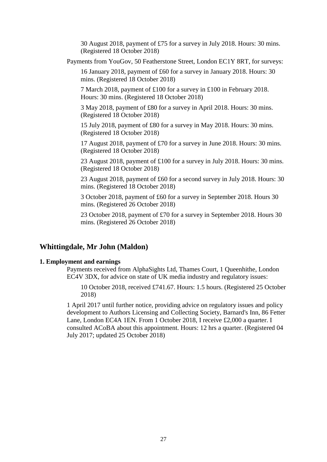30 August 2018, payment of £75 for a survey in July 2018. Hours: 30 mins. (Registered 18 October 2018)

Payments from YouGov, 50 Featherstone Street, London EC1Y 8RT, for surveys:

16 January 2018, payment of £60 for a survey in January 2018. Hours: 30 mins. (Registered 18 October 2018)

7 March 2018, payment of £100 for a survey in £100 in February 2018. Hours: 30 mins. (Registered 18 October 2018)

3 May 2018, payment of £80 for a survey in April 2018. Hours: 30 mins. (Registered 18 October 2018)

15 July 2018, payment of £80 for a survey in May 2018. Hours: 30 mins. (Registered 18 October 2018)

17 August 2018, payment of £70 for a survey in June 2018. Hours: 30 mins. (Registered 18 October 2018)

23 August 2018, payment of £100 for a survey in July 2018. Hours: 30 mins. (Registered 18 October 2018)

23 August 2018, payment of £60 for a second survey in July 2018. Hours: 30 mins. (Registered 18 October 2018)

3 October 2018, payment of £60 for a survey in September 2018. Hours 30 mins. (Registered 26 October 2018)

23 October 2018, payment of £70 for a survey in September 2018. Hours 30 mins. (Registered 26 October 2018)

## **Whittingdale, Mr John (Maldon)**

#### **1. Employment and earnings**

Payments received from AlphaSights Ltd, Thames Court, 1 Queenhithe, London EC4V 3DX, for advice on state of UK media industry and regulatory issues:

10 October 2018, received £741.67. Hours: 1.5 hours. (Registered 25 October 2018)

1 April 2017 until further notice, providing advice on regulatory issues and policy development to Authors Licensing and Collecting Society, Barnard's Inn, 86 Fetter Lane, London EC4A 1EN. From 1 October 2018, I receive £2,000 a quarter. I consulted ACoBA about this appointment. Hours: 12 hrs a quarter. (Registered 04 July 2017; updated 25 October 2018)